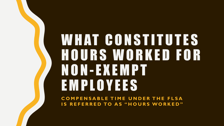## WHAT CONSTITUTES HOURS WORKED FOR NON- EXEMPT EMPLOYEES

**COMPENSABLE TIME UNDER THE FLSA IS REFERRED TO AS "HOURS WORKED"**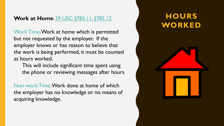#### **Work at Home** [29 USC §785.11, §785.12](https://www.dol.gov/whd/regs/compliance/WH1312.pdf)

Work Time. Work at home which is permitted but not requested by the employer. If the employer knows or has reason to believe that the work is being performed, it must be counted as hours worked.

This will include significant time spent using the phone or reviewing messages after hours

Non-work Time. Work done at home of which the employer has no knowledge or no means of acquiring knowledge.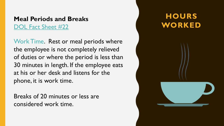#### **Meal Periods and Breaks**  [DOL Fact Sheet #22](https://www.dol.gov/whd/regs/compliance/whdfs22.htm)

Work Time. Rest or meal periods where the employee is not completely relieved of duties or where the period is less than 30 minutes in length. If the employee eats at his or her desk and listens for the phone, it is work time.

Breaks of 20 minutes or less are considered work time.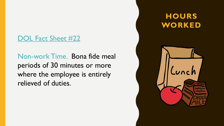#### [DOL Fact Sheet #22](https://www.dol.gov/whd/regs/compliance/whdfs22.htm)

Non-work Time. Bona fide meal periods of 30 minutes or more where the employee is entirely relieved of duties.

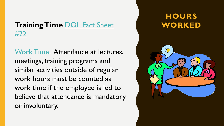#### **[Training Time](https://www.dol.gov/whd/regs/compliance/whdfs22.htm) DOL Fact Sheet WORKED** #22

Work Time. Attendance at lectures, meetings, training programs and similar activities outside of regular work hours must be counted as work time if the employee is led to believe that attendance is mandatory or involuntary.

## **HOURS**

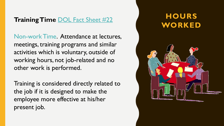Non-work Time. Attendance at lectures, meetings, training programs and similar activities which is voluntary, outside of working hours, not job-related and no other work is performed.

Training is considered directly related to the job if it is designed to make the employee more effective at his/her present job.

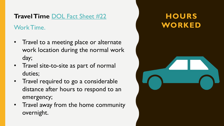#### **Travel Time** [DOL Fact Sheet #22](https://www.dol.gov/whd/regs/compliance/whdfs22.htm) Work Time.

- Travel to a meeting place or alternate work location during the normal work day;
- Travel site-to-site as part of normal duties;
- Travel required to go a considerable distance after hours to respond to an emergency;
- Travel away from the home community overnight.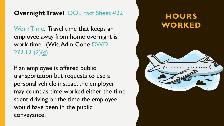#### **Overnight Travel [DOL Fact Sheet #22](https://www.dol.gov/whd/regs/compliance/whdfs22.htm)**

Work Time. Travel time that keeps an employee away from home overnight is [work time. \(Wis. Adm](http://docs.legis.wisconsin.gov/code/admin_code/dwd/270_279/272/12) Code DWD  $272.12(2)(g)$ 

If an employee is offered public transportation but requests to use a personal vehicle instead, the employer may count as time worked either the time spent driving or the time the employee would have been in the public conveyance.

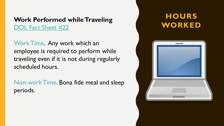#### **Work Performed while Traveling<br>
DOL Fact Sheet #22** [DOL Fact Sheet #22](https://www.dol.gov/whd/regs/compliance/whdfs22.htm)

Work Time. Any work which an employee is required to perform while traveling even if it is not during regularly scheduled hours.

Non-work Time. Bona fide meal and sleep periods.

## **HOURS**

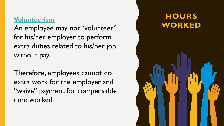#### **[Volunteerism](http://webapps.dol.gov/elaws/whd/flsa/docs/volunteers.asp)**

An employee may not "volunteer" for his/her employer, to perform extra duties related to his/her job without pay.

Therefore, employees cannot do extra work for the employer and "waive" payment for compensable time worked.